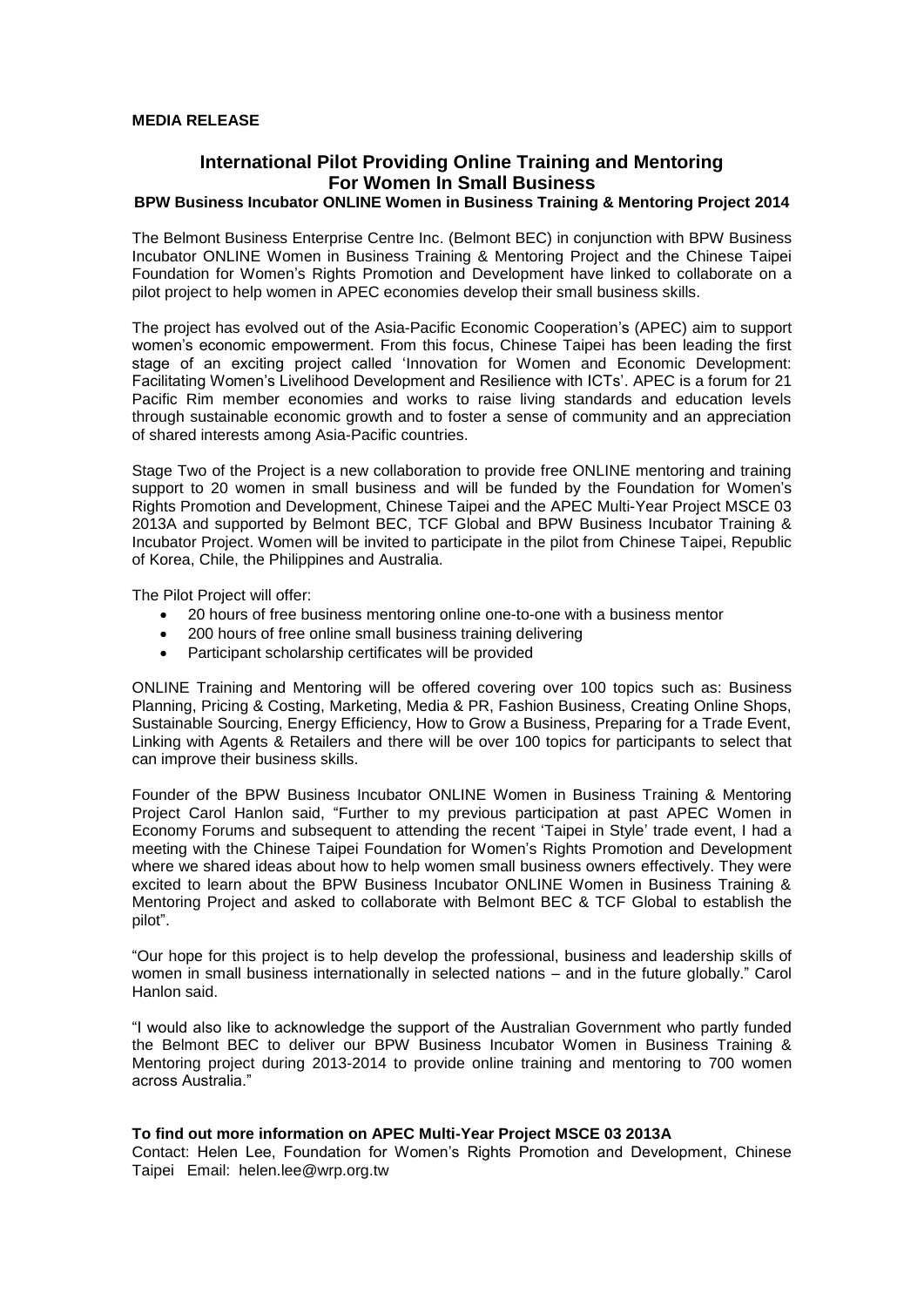#### **MEDIA RELEASE**

# **International Pilot Providing Online Training and Mentoring For Women In Small Business**

## **BPW Business Incubator ONLINE Women in Business Training & Mentoring Project 2014**

The Belmont Business Enterprise Centre Inc. (Belmont BEC) in conjunction with BPW Business Incubator ONLINE Women in Business Training & Mentoring Project and the Chinese Taipei Foundation for Women's Rights Promotion and Development have linked to collaborate on a pilot project to help women in APEC economies develop their small business skills.

The project has evolved out of the Asia-Pacific Economic Cooperation's (APEC) aim to support women's economic empowerment. From this focus, Chinese Taipei has been leading the first stage of an exciting project called 'Innovation for Women and Economic Development: Facilitating Women's Livelihood Development and Resilience with ICTs'. APEC is a forum for 21 Pacific Rim member economies and works to raise living standards and education levels through sustainable economic growth and to foster a sense of community and an appreciation of shared interests among Asia-Pacific countries.

Stage Two of the Project is a new collaboration to provide free ONLINE mentoring and training support to 20 women in small business and will be funded by the Foundation for Women's Rights Promotion and Development, Chinese Taipei and the APEC Multi-Year Project MSCE 03 2013A and supported by Belmont BEC, TCF Global and BPW Business Incubator Training & Incubator Project. Women will be invited to participate in the pilot from Chinese Taipei, Republic of Korea, Chile, the Philippines and Australia.

The Pilot Project will offer:

- 20 hours of free business mentoring online one-to-one with a business mentor
- 200 hours of free online small business training delivering
- Participant scholarship certificates will be provided

ONLINE Training and Mentoring will be offered covering over 100 topics such as: Business Planning, Pricing & Costing, Marketing, Media & PR, Fashion Business, Creating Online Shops, Sustainable Sourcing, Energy Efficiency, How to Grow a Business, Preparing for a Trade Event, Linking with Agents & Retailers and there will be over 100 topics for participants to select that can improve their business skills.

Founder of the BPW Business Incubator ONLINE Women in Business Training & Mentoring Project Carol Hanlon said, "Further to my previous participation at past APEC Women in Economy Forums and subsequent to attending the recent 'Taipei in Style' trade event, I had a meeting with the Chinese Taipei Foundation for Women's Rights Promotion and Development where we shared ideas about how to help women small business owners effectively. They were excited to learn about the BPW Business Incubator ONLINE Women in Business Training & Mentoring Project and asked to collaborate with Belmont BEC & TCF Global to establish the pilot".

"Our hope for this project is to help develop the professional, business and leadership skills of women in small business internationally in selected nations – and in the future globally." Carol Hanlon said.

"I would also like to acknowledge the support of the Australian Government who partly funded the Belmont BEC to deliver our BPW Business Incubator Women in Business Training & Mentoring project during 2013-2014 to provide online training and mentoring to 700 women across Australia."

### **To find out more information on APEC Multi-Year Project MSCE 03 2013A**

Contact: Helen Lee, Foundation for Women's Rights Promotion and Development, Chinese Taipei Email: helen.lee@wrp.org.tw